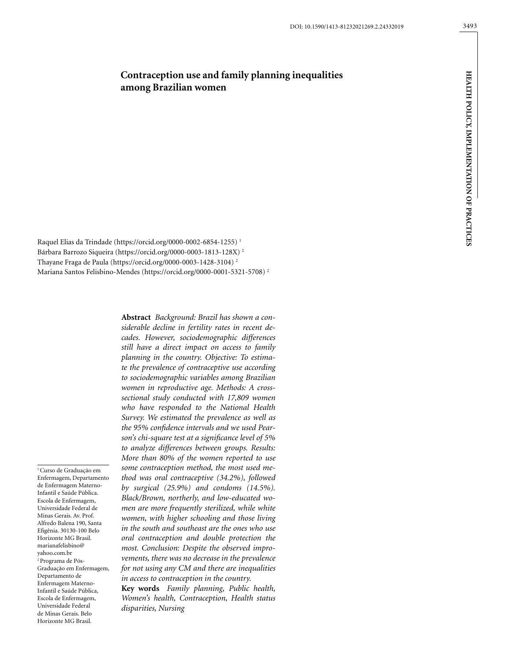# **Contraception use and family planning inequalities among Brazilian women**

Raquel Elias da Trindade (https://orcid.org/0000-0002-6854-1255) 1 Bárbara Barrozo Siqueira (https://orcid.org/0000-0003-1813-128X) 2 Thayane Fraga de Paula (https://orcid.org/0000-0003-1428-3104) 2 Mariana Santos Felisbino-Mendes (https://orcid.org/0000-0001-5321-5708) 2

1 Curso de Graduação em Enfermagem, Departamento de Enfermagem Materno-Infantil e Saúde Pública. Escola de Enfermagem, Universidade Federal de Minas Gerais. Av. Prof. Alfredo Balena 190, Santa Efigênia. 30130-100 Belo Horizonte MG Brasil. marianafelisbino@ yahoo.com.br 2 Programa de Pós-Graduação em Enfermagem, Departamento de Enfermagem Materno-Infantil e Saúde Pública, Escola de Enfermagem, Universidade Federal de Minas Gerais. Belo Horizonte MG Brasil.

**Abstract** *Background: Brazil has shown a considerable decline in fertility rates in recent decades. However, sociodemographic differences still have a direct impact on access to family planning in the country. Objective: To estimate the prevalence of contraceptive use according to sociodemographic variables among Brazilian women in reproductive age. Methods: A crosssectional study conducted with 17,809 women who have responded to the National Health Survey. We estimated the prevalence as well as the 95% confidence intervals and we used Pearson's chi-square test at a significance level of 5% to analyze differences between groups. Results: More than 80% of the women reported to use some contraception method, the most used method was oral contraceptive (34.2%), followed by surgical (25.9%) and condoms (14.5%). Black/Brown, northerly, and low-educated women are more frequently sterilized, while white women, with higher schooling and those living in the south and southeast are the ones who use oral contraception and double protection the most. Conclusion: Despite the observed improvements, there was no decrease in the prevalence for not using any CM and there are inequalities in access to contraception in the country.* 

**Key words** *Family planning, Public health, Women's health, Contraception, Health status disparities, Nursing*

HEALTH POLICY, IMPLEMENTATION OF PRACTICES **HEALTH POLICY, IMPLEMENTATION OF PRACTICES**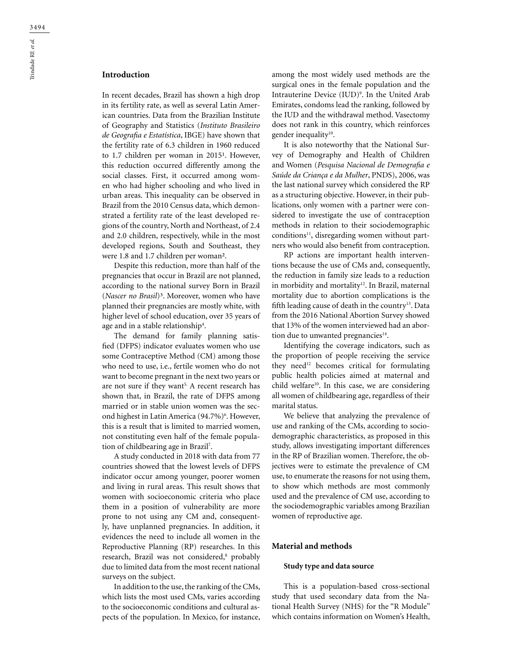# **Introduction**

In recent decades, Brazil has shown a high drop in its fertility rate, as well as several Latin American countries. Data from the Brazilian Institute of Geography and Statistics (*Instituto Brasileiro de Geografia e Estatística*, IBGE) have shown that the fertility rate of 6.3 children in 1960 reduced to 1.7 children per woman in 2015<sup>1</sup>. However, this reduction occurred differently among the social classes. First, it occurred among women who had higher schooling and who lived in urban areas. This inequality can be observed in Brazil from the 2010 Census data, which demonstrated a fertility rate of the least developed regions of the country, North and Northeast, of 2.4 and 2.0 children, respectively, while in the most developed regions, South and Southeast, they were 1.8 and 1.7 children per woman².

Despite this reduction, more than half of the pregnancies that occur in Brazil are not planned, according to the national survey Born in Brazil (*Nascer no Brasil*)³. Moreover, women who have planned their pregnancies are mostly white, with higher level of school education, over 35 years of age and in a stable relationship $^{\rm 4}.$ 

The demand for family planning satisfied (DFPS) indicator evaluates women who use some Contraceptive Method (CM) among those who need to use, i.e., fertile women who do not want to become pregnant in the next two years or are not sure if they want<sup>5.</sup> A recent research has shown that, in Brazil, the rate of DFPS among married or in stable union women was the second highest in Latin America (94.7%)<sup>6</sup>. However, this is a result that is limited to married women, not constituting even half of the female population of childbearing age in Brazil7 .

A study conducted in 2018 with data from 77 countries showed that the lowest levels of DFPS indicator occur among younger, poorer women and living in rural areas. This result shows that women with socioeconomic criteria who place them in a position of vulnerability are more prone to not using any CM and, consequently, have unplanned pregnancies. In addition, it evidences the need to include all women in the Reproductive Planning (RP) researches. In this research, Brazil was not considered,<sup>8</sup> probably due to limited data from the most recent national surveys on the subject.

In addition to the use, the ranking of the CMs, which lists the most used CMs, varies according to the socioeconomic conditions and cultural aspects of the population. In Mexico, for instance,

among the most widely used methods are the surgical ones in the female population and the Intrauterine Device (IUD)9 . In the United Arab Emirates, condoms lead the ranking, followed by the IUD and the withdrawal method. Vasectomy does not rank in this country, which reinforces gender inequality<sup>10</sup>.

It is also noteworthy that the National Survey of Demography and Health of Children and Women (*Pesquisa Nacional de Demografia e Saúde da Criança e da Mulher*, PNDS), 2006, was the last national survey which considered the RP as a structuring objective. However, in their publications, only women with a partner were considered to investigate the use of contraception methods in relation to their sociodemographic  $conditions<sup>11</sup>$ , disregarding women without partners who would also benefit from contraception.

RP actions are important health interventions because the use of CMs and, consequently, the reduction in family size leads to a reduction in morbidity and mortality<sup>12</sup>. In Brazil, maternal mortality due to abortion complications is the fifth leading cause of death in the country<sup>13</sup>. Data from the 2016 National Abortion Survey showed that 13% of the women interviewed had an abortion due to unwanted pregnancies<sup>14</sup>.

Identifying the coverage indicators, such as the proportion of people receiving the service they need<sup>12</sup> becomes critical for formulating public health policies aimed at maternal and child welfare<sup>10</sup>. In this case, we are considering all women of childbearing age, regardless of their marital status.

We believe that analyzing the prevalence of use and ranking of the CMs, according to sociodemographic characteristics, as proposed in this study, allows investigating important differences in the RP of Brazilian women. Therefore, the objectives were to estimate the prevalence of CM use, to enumerate the reasons for not using them, to show which methods are most commonly used and the prevalence of CM use, according to the sociodemographic variables among Brazilian women of reproductive age.

# **Material and methods**

#### **Study type and data source**

This is a population-based cross-sectional study that used secondary data from the National Health Survey (NHS) for the "R Module" which contains information on Women's Health,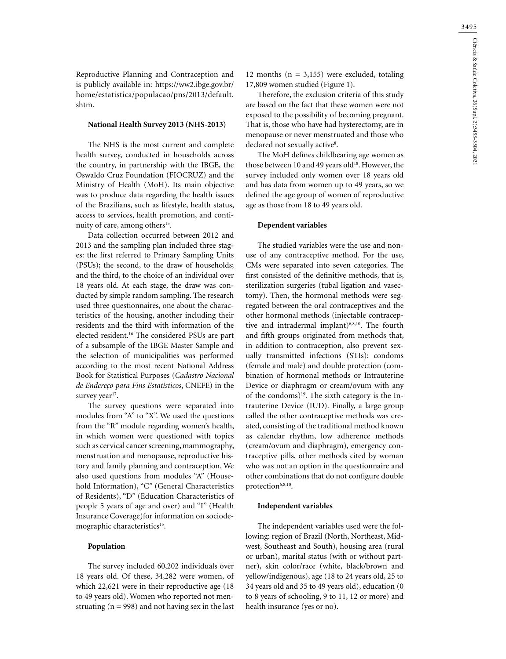3495

Reproductive Planning and Contraception and is publicly available in: [https://ww2.ibge.gov.br/](https://ww2.ibge.gov.br/home/estatistica/populacao/pns/2013/default.shtm) [home/estatistica/populacao/pns/2013/default.](https://ww2.ibge.gov.br/home/estatistica/populacao/pns/2013/default.shtm) [shtm](https://ww2.ibge.gov.br/home/estatistica/populacao/pns/2013/default.shtm).

#### **National Health Survey 2013 (NHS-2013)**

The NHS is the most current and complete health survey, conducted in households across the country, in partnership with the IBGE, the Oswaldo Cruz Foundation (FIOCRUZ) and the Ministry of Health (MoH). Its main objective was to produce data regarding the health issues of the Brazilians, such as lifestyle, health status, access to services, health promotion, and continuity of care, among others<sup>15</sup>.

Data collection occurred between 2012 and 2013 and the sampling plan included three stages: the first referred to Primary Sampling Units (PSUs); the second, to the draw of households; and the third, to the choice of an individual over 18 years old. At each stage, the draw was conducted by simple random sampling. The research used three questionnaires, one about the characteristics of the housing, another including their residents and the third with information of the elected resident.16 The considered PSUs are part of a subsample of the IBGE Master Sample and the selection of municipalities was performed according to the most recent National Address Book for Statistical Purposes (*Cadastro Nacional de Endereço para Fins Estatísticos*, CNEFE) in the survey year<sup>17</sup>.

The survey questions were separated into modules from "A" to "X". We used the questions from the "R" module regarding women's health, in which women were questioned with topics such as cervical cancer screening, mammography, menstruation and menopause, reproductive history and family planning and contraception. We also used questions from modules "A" (Household Information), "C" (General Characteristics of Residents), "D" (Education Characteristics of people 5 years of age and over) and "I" (Health Insurance Coverage)for information on sociodemographic characteristics<sup>15</sup>.

### **Population**

The survey included 60,202 individuals over 18 years old. Of these, 34,282 were women, of which 22,621 were in their reproductive age (18 to 49 years old). Women who reported not menstruating ( $n = 998$ ) and not having sex in the last 12 months ( $n = 3,155$ ) were excluded, totaling 17,809 women studied (Figure 1).

Therefore, the exclusion criteria of this study are based on the fact that these women were not exposed to the possibility of becoming pregnant. That is, those who have had hysterectomy, are in menopause or never menstruated and those who declared not sexually active<sup>8</sup>.

The MoH defines childbearing age women as those between 10 and 49 years old<sup>18</sup>. However, the survey included only women over 18 years old and has data from women up to 49 years, so we defined the age group of women of reproductive age as those from 18 to 49 years old.

#### **Dependent variables**

The studied variables were the use and nonuse of any contraceptive method. For the use, CMs were separated into seven categories. The first consisted of the definitive methods, that is, sterilization surgeries (tubal ligation and vasectomy). Then, the hormonal methods were segregated between the oral contraceptives and the other hormonal methods (injectable contraceptive and intradermal implant)<sup>6,8,10</sup>. The fourth and fifth groups originated from methods that, in addition to contraception, also prevent sexually transmitted infections (STIs): condoms (female and male) and double protection (combination of hormonal methods or Intrauterine Device or diaphragm or cream/ovum with any of the condoms) $19$ . The sixth category is the Intrauterine Device (IUD). Finally, a large group called the other contraceptive methods was created, consisting of the traditional method known as calendar rhythm, low adherence methods (cream/ovum and diaphragm), emergency contraceptive pills, other methods cited by woman who was not an option in the questionnaire and other combinations that do not configure double protection<sup>6,8,10</sup>.

### **Independent variables**

The independent variables used were the following: region of Brazil (North, Northeast, Midwest, Southeast and South), housing area (rural or urban), marital status (with or without partner), skin color/race (white, black/brown and yellow/indigenous), age (18 to 24 years old, 25 to 34 years old and 35 to 49 years old), education (0 to 8 years of schooling, 9 to 11, 12 or more) and health insurance (yes or no).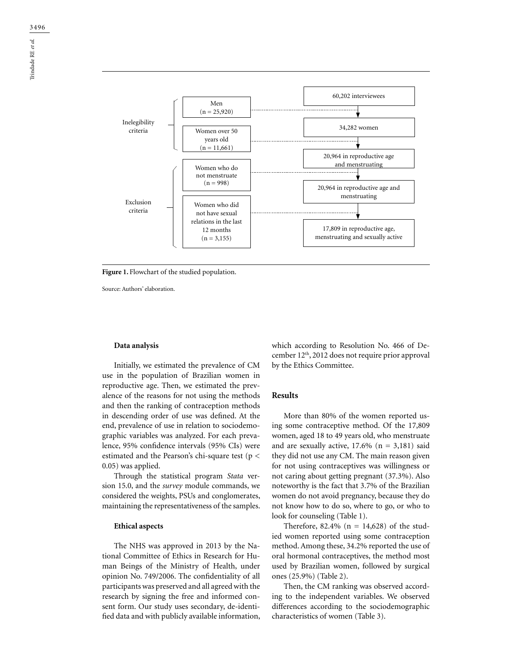

Figure 1. Flowchart of the studied population.

Source: Authors' elaboration.

#### **Data analysis**

Initially, we estimated the prevalence of CM use in the population of Brazilian women in reproductive age. Then, we estimated the prevalence of the reasons for not using the methods and then the ranking of contraception methods in descending order of use was defined. At the end, prevalence of use in relation to sociodemographic variables was analyzed. For each prevalence, 95% confidence intervals (95% CIs) were estimated and the Pearson's chi-square test (p < 0.05) was applied.

Through the statistical program *Stata* version 15.0, and the *survey* module commands, we considered the weights, PSUs and conglomerates, maintaining the representativeness of the samples.

#### **Ethical aspects**

The NHS was approved in 2013 by the National Committee of Ethics in Research for Human Beings of the Ministry of Health, under opinion No. 749/2006. The confidentiality of all participants was preserved and all agreed with the research by signing the free and informed consent form. Our study uses secondary, de-identified data and with publicly available information,

which according to Resolution No. 466 of December 12th, 2012 does not require prior approval by the Ethics Committee.

#### **Results**

More than 80% of the women reported using some contraceptive method. Of the 17,809 women, aged 18 to 49 years old, who menstruate and are sexually active,  $17.6\%$  (n = 3,181) said they did not use any CM. The main reason given for not using contraceptives was willingness or not caring about getting pregnant (37.3%). Also noteworthy is the fact that 3.7% of the Brazilian women do not avoid pregnancy, because they do not know how to do so, where to go, or who to look for counseling (Table 1).

Therefore, 82.4% ( $n = 14,628$ ) of the studied women reported using some contraception method. Among these, 34.2% reported the use of oral hormonal contraceptives, the method most used by Brazilian women, followed by surgical ones (25.9%) (Table 2).

Then, the CM ranking was observed according to the independent variables. We observed differences according to the sociodemographic characteristics of women (Table 3).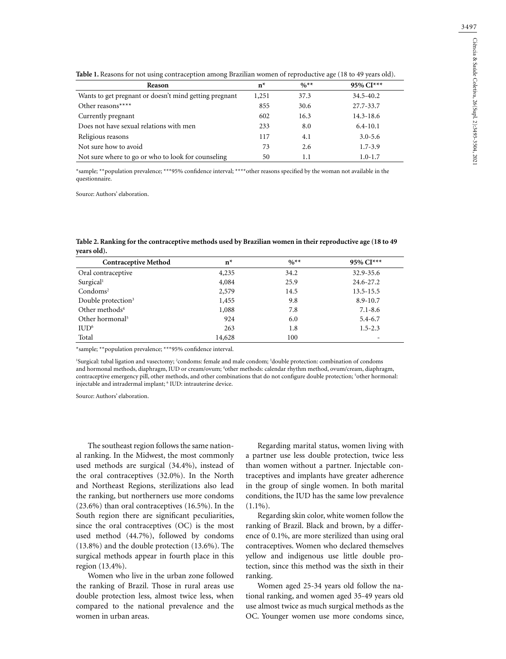| Reason                                                 | $n^*$ | $\frac{9}{6}$ ** | 95% CI***    |
|--------------------------------------------------------|-------|------------------|--------------|
| Wants to get pregnant or doesn't mind getting pregnant | 1,251 | 37.3             | 34.5-40.2    |
| Other reasons****                                      | 855   | 30.6             | 27.7-33.7    |
| Currently pregnant                                     | 602   | 16.3             | 14.3-18.6    |
| Does not have sexual relations with men                | 233   | 8.0              | $6.4 - 10.1$ |
| Religious reasons                                      | 117   | 4.1              | $3.0 - 5.6$  |
| Not sure how to avoid                                  | 73    | 2.6              | $1.7 - 3.9$  |
| Not sure where to go or who to look for counseling     | 50    | 1.1              | $1.0 - 1.7$  |

**Table 1.** Reasons for not using contraception among Brazilian women of reproductive age (18 to 49 years old).

\*sample; \*\*population prevalence; \*\*\*95% confidence interval; \*\*\*\*other reasons specified by the woman not available in the questionnaire.

Source: Authors' elaboration.

**Table 2. Ranking for the contraceptive methods used by Brazilian women in their reproductive age (18 to 49 years old).**

| <b>Contraceptive Method</b>    | $n^*$  | $\frac{0}{6}$ ** | $95\%$ CI*** |
|--------------------------------|--------|------------------|--------------|
| Oral contraceptive             | 4,235  | 34.2             | 32.9-35.6    |
| Surgical <sup>1</sup>          | 4,084  | 25.9             | 24.6-27.2    |
| $Condoms^2$                    | 2,579  | 14.5             | 13.5-15.5    |
| Double protection <sup>3</sup> | 1,455  | 9.8              | $8.9 - 10.7$ |
| Other methods <sup>4</sup>     | 1,088  | 7.8              | $7.1 - 8.6$  |
| Other hormonal <sup>5</sup>    | 924    | 6.0              | $5.4 - 6.7$  |
| IUD <sup>6</sup>               | 263    | 1.8              | $1.5 - 2.3$  |
| Total                          | 14,628 | 100              | -            |

\*sample; \*\*population prevalence; \*\*\*95% confidence interval.

1 Surgical: tubal ligation and vasectomy; 2 condoms: female and male condom; 3 double protection: combination of condoms and hormonal methods, diaphragm, IUD or cream/ovum; 4 other methods: calendar rhythm method, ovum/cream, diaphragm, contraceptive emergency pill, other methods, and other combinations that do not configure double protection; <sup>5</sup>other hormonal: injectable and intradermal implant; 6 IUD: intrauterine device.

Source: Authors' elaboration.

The southeast region follows the same national ranking. In the Midwest, the most commonly used methods are surgical (34.4%), instead of the oral contraceptives (32.0%). In the North and Northeast Regions, sterilizations also lead the ranking, but northerners use more condoms (23.6%) than oral contraceptives (16.5%). In the South region there are significant peculiarities, since the oral contraceptives (OC) is the most used method (44.7%), followed by condoms (13.8%) and the double protection (13.6%). The surgical methods appear in fourth place in this region (13.4%).

Women who live in the urban zone followed the ranking of Brazil. Those in rural areas use double protection less, almost twice less, when compared to the national prevalence and the women in urban areas.

Regarding marital status, women living with a partner use less double protection, twice less than women without a partner. Injectable contraceptives and implants have greater adherence in the group of single women. In both marital conditions, the IUD has the same low prevalence  $(1.1\%)$ .

Regarding skin color, white women follow the ranking of Brazil. Black and brown, by a difference of 0.1%, are more sterilized than using oral contraceptives. Women who declared themselves yellow and indigenous use little double protection, since this method was the sixth in their ranking.

Women aged 25-34 years old follow the national ranking, and women aged 35-49 years old use almost twice as much surgical methods as the OC. Younger women use more condoms since,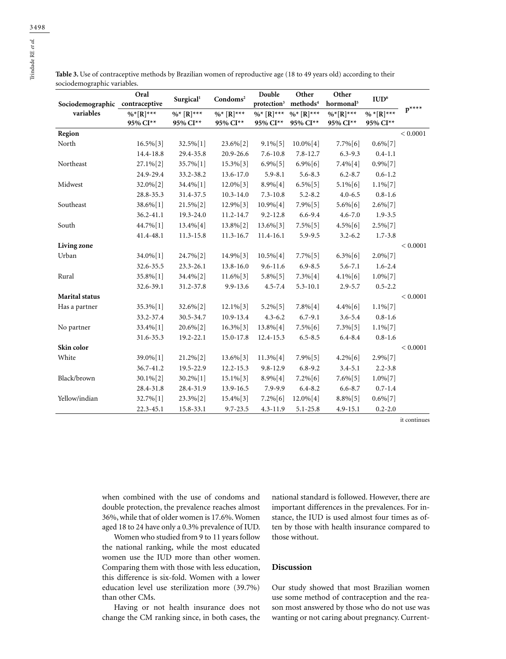**Table 3.** Use of contraceptive methods by Brazilian women of reproductive age (18 to 49 years old) according to their sociodemographic variables.

| Sociodemographic contraceptive | Oral          | Surgical <sup>1</sup> | Condoms <sup>2</sup> | Double<br>protection <sup>3</sup> | Other<br>methods <sup>4</sup> | Other<br>hormonal <sup>5</sup> | IUD <sup>6</sup> |           |
|--------------------------------|---------------|-----------------------|----------------------|-----------------------------------|-------------------------------|--------------------------------|------------------|-----------|
| variables                      | $\%$ *[R]***  | $\%^{*}$ [R]***       | $\%$ * [R]***        | $\%$ * [R]***                     | $\%$ * [R]***                 | $\%$ * $[{\bf R}]$ ***         | $\% * [R]^{***}$ | $p^{***}$ |
|                                | 95% CI**      | 95% CI**              | 95% CI**             | 95% CI**                          | 95% CI**                      | 95% CI**                       | 95% CI**         |           |
| Region                         |               |                       |                      |                                   |                               |                                |                  | < 0.0001  |
| North                          | $16.5\%[3]$   | 32.5%[1]              | 23.6%[2]             | $9.1\%[5]$                        | $10.0\%[4]$                   | $7.7\%[6]$                     | $0.6\%[7]$       |           |
|                                | 14.4-18.8     | 29.4-35.8             | 20.9-26.6            | $7.6 - 10.8$                      | $7.8 - 12.7$                  | $6.3 - 9.3$                    | $0.4 - 1.1$      |           |
| Northeast                      | 27.1%[2]      | 35.7% [1]             | $15.3\%$ [3]         | $6.9\%[5]$                        | $6.9\%$ [6]                   | $7.4\%[4]$                     | $0.9\%[7]$       |           |
|                                | 24.9-29.4     | 33.2-38.2             | 13.6-17.0            | $5.9 - 8.1$                       | $5.6 - 8.3$                   | $6.2 - 8.7$                    | $0.6 - 1.2$      |           |
| Midwest                        | 32.0%[2]      | 34.4% [1]             | 12.0%[3]             | $8.9\%[4]$                        | $6.5\%[5]$                    | $5.1\%[6]$                     | $1.1\%[7]$       |           |
|                                | 28.8-35.3     | 31.4-37.5             | $10.3 - 14.0$        | $7.3 - 10.8$                      | $5.2 - 8.2$                   | $4.0 - 6.5$                    | $0.8 - 1.6$      |           |
| Southeast                      | 38.6%[1]      | $21.5\%[2]$           | 12.9%[3]             | $10.9\%[4]$                       | $7.9\%[5]$                    | $5.6\%[6]$                     | $2.6\%[7]$       |           |
|                                | $36.2 - 41.1$ | 19.3-24.0             | 11.2-14.7            | $9.2 - 12.8$                      | $6.6 - 9.4$                   | $4.6 - 7.0$                    | $1.9 - 3.5$      |           |
| South                          | 44.7% [1]     | 13.4% [4]             | 13.8%[2]             | 13.6%[3]                          | $7.5\%[5]$                    | $4.5\%[6]$                     | $2.5\%[7]$       |           |
|                                | 41.4-48.1     | 11.3-15.8             | 11.3-16.7            | 11.4-16.1                         | 5.9-9.5                       | $3.2 - 6.2$                    | $1.7 - 3.8$      |           |
| Living zone                    |               |                       |                      |                                   |                               |                                |                  | < 0.0001  |
| Urban                          | 34.0%[1]      | 24.7%[2]              | 14.9%[3]             | $10.5\%[4]$                       | $7.7\%$ [5]                   | $6.3\%[6]$                     | $2.0\%$ [7]      |           |
|                                | 32.6-35.5     | 23.3-26.1             | 13.8-16.0            | $9.6 - 11.6$                      | $6.9 - 8.5$                   | $5.6 - 7.1$                    | $1.6 - 2.4$      |           |
| Rural                          | 35.8%[1]      | 34.4% [2]             | $11.6\%[3]$          | $5.8\%[5]$                        | 7.3%[4]                       | $4.1\%[6]$                     | $1.0\%[7]$       |           |
|                                | 32.6-39.1     | 31.2-37.8             | 9.9-13.6             | $4.5 - 7.4$                       | $5.3 - 10.1$                  | $2.9 - 5.7$                    | $0.5 - 2.2$      |           |
| <b>Marital status</b>          |               |                       |                      |                                   |                               |                                |                  | < 0.0001  |
| Has a partner                  | 35.3%[1]      | 32.6%[2]              | $12.1\%[3]$          | $5.2\%[5]$                        | $7.8\%[4]$                    | $4.4\%[6]$                     | $1.1\%$ [7]      |           |
|                                | 33.2-37.4     | 30.5-34.7             | 10.9-13.4            | $4.3 - 6.2$                       | $6.7 - 9.1$                   | $3.6 - 5.4$                    | $0.8 - 1.6$      |           |
| No partner                     | 33.4% [1]     | 20.6%[2]              | $16.3\%[3]$          | 13.8% [4]                         | $7.5\%[6]$                    | $7.3\%[5]$                     | $1.1\%[7]$       |           |
|                                | 31.6-35.3     | 19.2-22.1             | 15.0-17.8            | 12.4-15.3                         | $6.5 - 8.5$                   | $6.4 - 8.4$                    | $0.8 - 1.6$      |           |
| Skin color                     |               |                       |                      |                                   |                               |                                |                  | < 0.0001  |
| White                          | 39.0%[1]      | 21.2%[2]              | 13.6%[3]             | $11.3\%[4]$                       | 7.9%[5]                       | $4.2\%[6]$                     | 2.9%[7]          |           |
|                                | 36.7-41.2     | 19.5-22.9             | 12.2-15.3            | $9.8 - 12.9$                      | $6.8 - 9.2$                   | $3.4 - 5.1$                    | $2.2 - 3.8$      |           |
| Black/brown                    | 30.1%[2]      | 30.2%[1]              | $15.1\%[3]$          | $8.9\%[4]$                        | $7.2\%[6]$                    | $7.6\%[5]$                     | $1.0\%$ [7]      |           |
|                                | 28.4-31.8     | 28.4-31.9             | 13.9-16.5            | 7.9-9.9                           | $6.4 - 8.2$                   | $6.6 - 8.7$                    | $0.7 - 1.4$      |           |
| Yellow/indian                  | 32.7% [1]     | 23.3%[2]              | $15.4\%[3]$          | $7.2\%[6]$                        | 12.0%[4]                      | $8.8\%[5]$                     | $0.6\%[7]$       |           |
|                                | 22.3-45.1     | 15.8-33.1             | $9.7 - 23.5$         | 4.3-11.9                          | $5.1 - 25.8$                  | $4.9 - 15.1$                   | $0.2 - 2.0$      |           |

it continues

when combined with the use of condoms and double protection, the prevalence reaches almost 36%, while that of older women is 17.6%. Women aged 18 to 24 have only a 0.3% prevalence of IUD.

Women who studied from 9 to 11 years follow the national ranking, while the most educated women use the IUD more than other women. Comparing them with those with less education, this difference is six-fold. Women with a lower education level use sterilization more (39.7%) than other CMs.

Having or not health insurance does not change the CM ranking since, in both cases, the

national standard is followed. However, there are important differences in the prevalences. For instance, the IUD is used almost four times as often by those with health insurance compared to those without.

# **Discussion**

Our study showed that most Brazilian women use some method of contraception and the reason most answered by those who do not use was wanting or not caring about pregnancy. Current-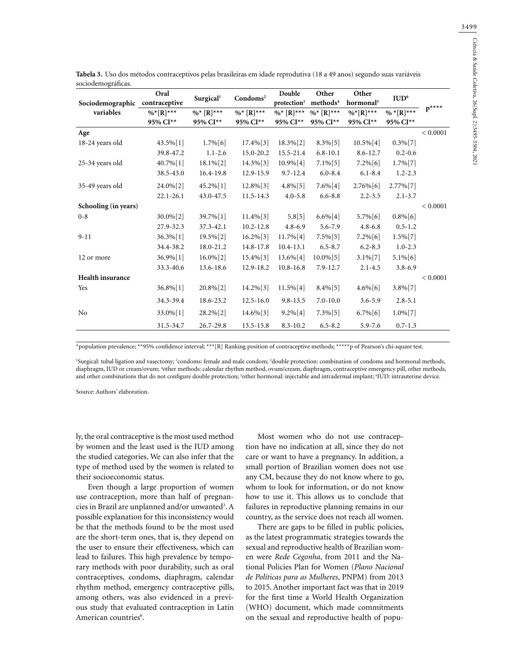| Sociodemographic contraceptive | Oral                        | Surgical <sup>1</sup>      | Condoms <sup>2</sup>      | Double<br>protection <sup>3</sup> | Other<br>methods <sup>4</sup> | Other<br>hormonal <sup>5</sup>       | IUD <sup>6</sup>        |           |
|--------------------------------|-----------------------------|----------------------------|---------------------------|-----------------------------------|-------------------------------|--------------------------------------|-------------------------|-----------|
| variables                      | $%$ * $[R]$ ***<br>95% CI** | $\%$ $[R]$ ***<br>95% CI** | $\%$ * [R]***<br>95% CI** | $\%$ * [R]***<br>95% CI**         | $\%^{*}$ [R]***<br>95% CI**   | $\%$ <sup>*</sup> [R]***<br>95% CI** | $%$ *[R]***<br>95% CI** | $p^{***}$ |
| Age                            |                             |                            |                           |                                   |                               |                                      |                         | < 0.0001  |
| 18-24 years old                | 43.5% [1]                   | $1.7\%$ [6]                | $17.4\%$ [3]              | $18.3\%$ [2]                      | $8.3\%[5]$                    | $10.5\%$ [4]                         | $0.3\%[7]$              |           |
|                                | 39.8-47.2                   | $1.1 - 2.6$                | 15.0-20.2                 | 15.5-21.4                         | $6.8 - 10.1$                  | $8.6 - 12.7$                         | $0.2 - 0.6$             |           |
| 25-34 years old                | 40.7%[1]                    | $18.1\%$ [2]               | $14.3\%$ [3]              | $10.9\%$ [4]                      | $7.1\%[5]$                    | $7.2\%[6]$                           | $1.7\%[7]$              |           |
|                                | 38.5-43.0                   | 16.4-19.8                  | 12.9-15.9                 | $9.7 - 12.4$                      | $6.0 - 8.4$                   | $6.1 - 8.4$                          | $1.2 - 2.3$             |           |
| 35-49 years old                | 24.0%[2]                    | 45.2%[1]                   | 12.8%[3]                  | $4.8\%$ [5]                       | $7.6\%[4]$                    | $2.76\%[6]$                          | 2.77% [7]               |           |
|                                | $22.1 - 26.1$               | 43.0-47.5                  | $11.5 - 14.3$             | $4.0 - 5.8$                       | $6.6 - 8.8$                   | $2.2 - 3.5$                          | $2.1 - 3.7$             |           |
| Schooling (in years)           |                             |                            |                           |                                   |                               |                                      |                         | < 0.0001  |
| $0 - 8$                        | $30.0\%[2]$                 | 39.7%[1]                   | $11.4\%$ [3]              | 5.8[5]                            | $6.6\%[4]$                    | 5.7% [6]                             | $0.8\%[6]$              |           |
|                                | 27.9-32.3                   | 37.3-42.1                  | $10.2 - 12.8$             | $4.8 - 6.9$                       | 5.6-7.9                       | $4.8 - 6.8$                          | $0.5 - 1.2$             |           |
| $9 - 11$                       | 36.3%[1]                    | 19.5%[2]                   | $16.2\%$ [3]              | $11.7\%$ [4]                      | 7.5%[5]                       | $7.2\%[6]$                           | $1.5\%$ [7]             |           |
|                                | 34.4-38.2                   | 18.0-21.2                  | 14.8-17.8                 | $10.4 - 13.1$                     | $6.5 - 8.7$                   | $6.2 - 8.3$                          | $1.0 - 2.3$             |           |
| 12 or more                     | 36.9%[1]                    | $16.0\%$ [2]               | $15.4\%$ [3]              | 13.6%[4]                          | $10.0\%[5]$                   | $3.1\%[7]$                           | $5.1\%[6]$              |           |
|                                | 33.3-40.6                   | 13.6-18.6                  | 12.9-18.2                 | $10.8 - 16.8$                     | $7.9 - 12.7$                  | $2.1 - 4.5$                          | $3.8 - 6.9$             |           |
| <b>Health insurance</b>        |                             |                            |                           |                                   |                               |                                      |                         | < 0.0001  |
| Yes                            | 36.8%[1]                    | $20.8\%[2]$                | 14.2%[3]                  | $11.5\%[4]$                       | $8.4\%[5]$                    | $4.6\%$ [6]                          | $3.8\%$ [7]             |           |
|                                | 34.3-39.4                   | 18.6-23.2                  | $12.5 - 16.0$             | $9.8 - 13.5$                      | $7.0 - 10.0$                  | $3.6 - 5.9$                          | $2.8 - 5.1$             |           |
| N <sub>o</sub>                 | 33.0%[1]                    | 28.2%[2]                   | 14.6%[3]                  | $9.2\%[4]$                        | $7.3\%[5]$                    | $6.7\%[6]$                           | $1.0\%[7]$              |           |
|                                | 31.5-34.7                   | 26.7-29.8                  | 13.5-15.8                 | $8.3 - 10.2$                      | $6.5 - 8.2$                   | 5.9-7.6                              | $0.7 - 1.3$             |           |

**Tabela 3.** Uso dos métodos contraceptivos pelas brasileiras em idade reprodutiva (18 a 49 anos) segundo suas variáveis sociodemográficas.

\*population prevalence; \*\*95% confidence interval; \*\*\*[R] Ranking position of contraceptive methods; \*\*\*\*\*p of Pearson's chi-square test.

'Surgical: tubal ligation and vasectomy; <sup>2</sup>condoms: female and male condom; <sup>3</sup>double protection: combination of condoms and hormonal methods, diaphragm, IUD or cream/ovum; 4 other methods: calendar rhythm method, ovum/cream, diaphragm, contraceptive emergency pill, other methods, and other combinations that do not configure double protection; <sup>5</sup>other hormonal: injectable and intradermal implant; <sup>6</sup>IUD: intrauterine device.

Source: Authors' elaboration.

ly, the oral contraceptive is the most used method by women and the least used is the IUD among the studied categories. We can also infer that the type of method used by the women is related to their socioeconomic status.

Even though a large proportion of women use contraception, more than half of pregnancies in Brazil are unplanned and/or unwanted<sup>3</sup>. A possible explanation for this inconsistency would be that the methods found to be the most used are the short-term ones, that is, they depend on the user to ensure their effectiveness, which can lead to failures. This high prevalence by temporary methods with poor durability, such as oral contraceptives, condoms, diaphragm, calendar rhythm method, emergency contraceptive pills, among others, was also evidenced in a previous study that evaluated contraception in Latin American countries<sup>6</sup>.

Most women who do not use contraception have no indication at all, since they do not care or want to have a pregnancy. In addition, a small portion of Brazilian women does not use any CM, because they do not know where to go, whom to look for information, or do not know how to use it. This allows us to conclude that failures in reproductive planning remains in our country, as the service does not reach all women.

There are gaps to be filled in public policies, as the latest programmatic strategies towards the sexual and reproductive health of Brazilian women were *Rede Cegonha*, from 2011 and the National Policies Plan for Women (*Plano Nacional de Políticas para as Mulheres*, PNPM) from 2013 to 2015. Another important fact was that in 2019 for the first time a World Health Organization (WHO) document, which made commitments on the sexual and reproductive health of popu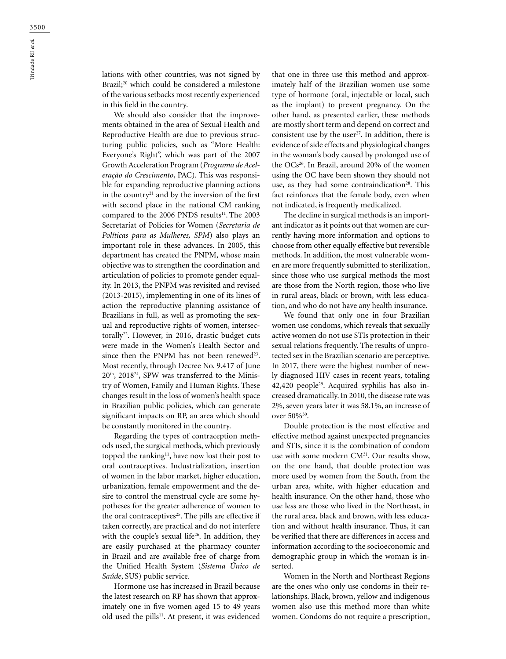lations with other countries, was not signed by Brazil;<sup>20</sup> which could be considered a milestone of the various setbacks most recently experienced in this field in the country.

We should also consider that the improvements obtained in the area of Sexual Health and Reproductive Health are due to previous structuring public policies, such as "More Health: Everyone's Right", which was part of the 2007 Growth Acceleration Program (*Programa de Aceleração do Crescimento*, PAC). This was responsible for expanding reproductive planning actions in the country<sup>21</sup> and by the inversion of the first with second place in the national CM ranking compared to the 2006 PNDS results<sup>11</sup>. The 2003 Secretariat of Policies for Women (*Secretaria de Políticas para as Mulheres, SPM*) also plays an important role in these advances. In 2005, this department has created the PNPM, whose main objective was to strengthen the coordination and articulation of policies to promote gender equality. In 2013, the PNPM was revisited and revised (2013-2015), implementing in one of its lines of action the reproductive planning assistance of Brazilians in full, as well as promoting the sexual and reproductive rights of women, intersectorally<sup>22</sup>. However, in 2016, drastic budget cuts were made in the Women's Health Sector and since then the PNPM has not been renewed<sup>23</sup>. Most recently, through Decree No. 9.417 of June 20th, 201824, SPW was transferred to the Ministry of Women, Family and Human Rights. These changes result in the loss of women's health space in Brazilian public policies, which can generate significant impacts on RP, an area which should be constantly monitored in the country.

Regarding the types of contraception methods used, the surgical methods, which previously topped the ranking $11$ , have now lost their post to oral contraceptives. Industrialization, insertion of women in the labor market, higher education, urbanization, female empowerment and the desire to control the menstrual cycle are some hypotheses for the greater adherence of women to the oral contraceptives<sup>25</sup>. The pills are effective if taken correctly, are practical and do not interfere with the couple's sexual life<sup>26</sup>. In addition, they are easily purchased at the pharmacy counter in Brazil and are available free of charge from the Unified Health System (*Sistema Único de Saúde*, SUS) public service.

Hormone use has increased in Brazil because the latest research on RP has shown that approximately one in five women aged 15 to 49 years old used the pills<sup>11</sup>. At present, it was evidenced that one in three use this method and approximately half of the Brazilian women use some type of hormone (oral, injectable or local, such as the implant) to prevent pregnancy. On the other hand, as presented earlier, these methods are mostly short term and depend on correct and consistent use by the user<sup>27</sup>. In addition, there is evidence of side effects and physiological changes in the woman's body caused by prolonged use of the OCs<sup>26</sup>. In Brazil, around 20% of the women using the OC have been shown they should not use, as they had some contraindication<sup>28</sup>. This fact reinforces that the female body, even when not indicated, is frequently medicalized.

The decline in surgical methods is an important indicator as it points out that women are currently having more information and options to choose from other equally effective but reversible methods. In addition, the most vulnerable women are more frequently submitted to sterilization, since those who use surgical methods the most are those from the North region, those who live in rural areas, black or brown, with less education, and who do not have any health insurance.

We found that only one in four Brazilian women use condoms, which reveals that sexually active women do not use STIs protection in their sexual relations frequently. The results of unprotected sex in the Brazilian scenario are perceptive. In 2017, there were the highest number of newly diagnosed HIV cases in recent years, totaling 42,420 people<sup>29</sup>. Acquired syphilis has also increased dramatically. In 2010, the disease rate was 2%, seven years later it was 58.1%, an increase of over 50%30.

Double protection is the most effective and effective method against unexpected pregnancies and STIs, since it is the combination of condom use with some modern CM<sup>31</sup>. Our results show, on the one hand, that double protection was more used by women from the South, from the urban area, white, with higher education and health insurance. On the other hand, those who use less are those who lived in the Northeast, in the rural area, black and brown, with less education and without health insurance. Thus, it can be verified that there are differences in access and information according to the socioeconomic and demographic group in which the woman is inserted.

Women in the North and Northeast Regions are the ones who only use condoms in their relationships. Black, brown, yellow and indigenous women also use this method more than white women. Condoms do not require a prescription,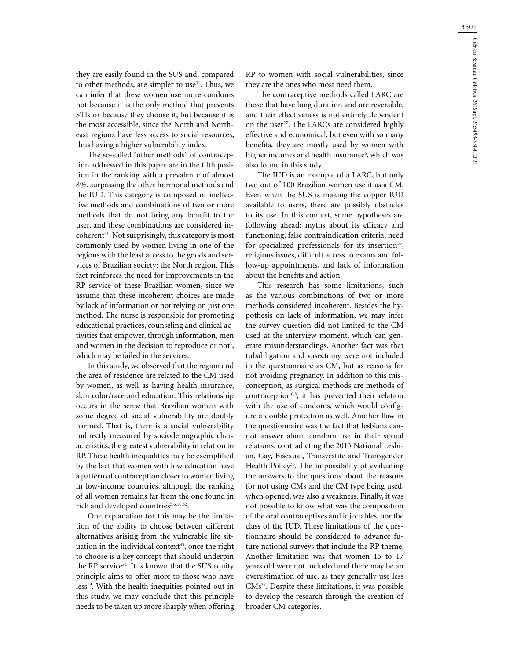they are easily found in the SUS and, compared to other methods, are simpler to use<sup>31</sup>. Thus, we can infer that these women use more condoms not because it is the only method that prevents STIs or because they choose it, but because it is the most accessible, since the North and Northeast regions have less access to social resources, thus having a higher vulnerability index.

The so-called "other methods" of contraception addressed in this paper are in the fifth position in the ranking with a prevalence of almost 8%, surpassing the other hormonal methods and the IUD. This category is composed of ineffective methods and combinations of two or more methods that do not bring any benefit to the user, and these combinations are considered in $coherent<sup>31</sup>$ . Not surprisingly, this category is most commonly used by women living in one of the regions with the least access to the goods and services of Brazilian society: the North region. This fact reinforces the need for improvements in the RP service of these Brazilian women, since we assume that these incoherent choices are made by lack of information or not relying on just one method. The nurse is responsible for promoting educational practices, counseling and clinical activities that empower, through information, men and women in the decision to reproduce or not<sup>3</sup>, which may be failed in the services.

In this study, we observed that the region and the area of residence are related to the CM used by women, as well as having health insurance, skin color/race and education. This relationship occurs in the sense that Brazilian women with some degree of social vulnerability are doubly harmed. That is, there is a social vulnerability indirectly measured by sociodemographic characteristics, the greatest vulnerability in relation to RP. These health inequalities may be exemplified by the fact that women with low education have a pattern of contraception closer to women living in low-income countries, although the ranking of all women remains far from the one found in rich and developed countries<sup>5,6,10,32</sup>.

One explanation for this may be the limitation of the ability to choose between different alternatives arising from the vulnerable life situation in the individual context $33$ , once the right to choose is a key concept that should underpin the RP service<sup>34</sup>. It is known that the SUS equity principle aims to offer more to those who have less<sup>19</sup>. With the health inequities pointed out in this study, we may conclude that this principle needs to be taken up more sharply when offering RP to women with social vulnerabilities, since they are the ones who most need them.

The contraceptive methods called LARC are those that have long duration and are reversible, and their effectiveness is not entirely dependent on the user<sup>27</sup>. The LARCs are considered highly effective and economical, but even with so many benefits, they are mostly used by women with higher incomes and health insurance<sup>6</sup>, which was also found in this study.

The IUD is an example of a LARC, but only two out of 100 Brazilian women use it as a CM. Even when the SUS is making the copper IUD available to users, there are possibly obstacles to its use. In this context, some hypotheses are following ahead: myths about its efficacy and functioning, false contraindication criteria, need for specialized professionals for its insertion<sup>35</sup>, religious issues, difficult access to exams and follow-up appointments, and lack of information about the benefits and action.

This research has some limitations, such as the various combinations of two or more methods considered incoherent. Besides the hypothesis on lack of information, we may infer the survey question did not limited to the CM used at the interview moment, which can generate misunderstandings. Another fact was that tubal ligation and vasectomy were not included in the questionnaire as CM, but as reasons for not avoiding pregnancy. In addition to this misconception, as surgical methods are methods of contraception<sup>6,8</sup>, it has prevented their relation with the use of condoms, which would configure a double protection as well. Another flaw in the questionnaire was the fact that lesbians cannot answer about condom use in their sexual relations, contradicting the 2013 National Lesbian, Gay, Bisexual, Transvestite and Transgender Health Policy<sup>36</sup>. The impossibility of evaluating the answers to the questions about the reasons for not using CMs and the CM type being used, when opened, was also a weakness. Finally, it was not possible to know what was the composition of the oral contraceptives and injectables, nor the class of the IUD. These limitations of the questionnaire should be considered to advance future national surveys that include the RP theme. Another limitation was that women 15 to 17 years old were not included and there may be an overestimation of use, as they generally use less CMs37. Despite these limitations, it was possible to develop the research through the creation of broader CM categories.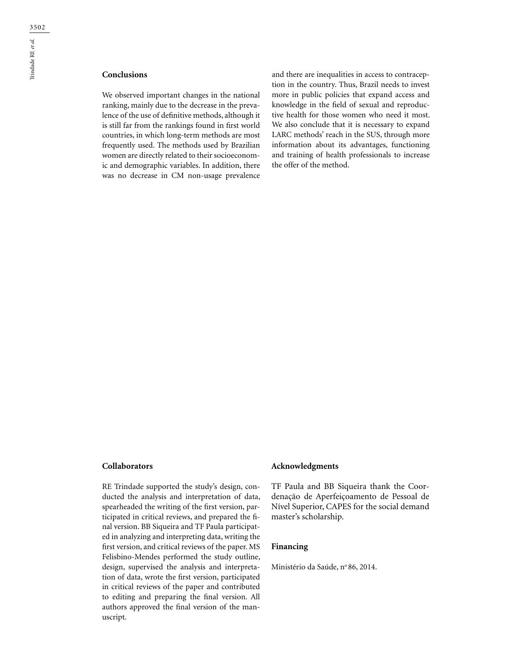# **Conclusions**

We observed important changes in the national ranking, mainly due to the decrease in the prevalence of the use of definitive methods, although it is still far from the rankings found in first world countries, in which long-term methods are most frequently used. The methods used by Brazilian women are directly related to their socioeconomic and demographic variables. In addition, there was no decrease in CM non-usage prevalence

and there are inequalities in access to contraception in the country. Thus, Brazil needs to invest more in public policies that expand access and knowledge in the field of sexual and reproductive health for those women who need it most. We also conclude that it is necessary to expand LARC methods' reach in the SUS, through more information about its advantages, functioning and training of health professionals to increase the offer of the method.

### **Collaborators**

RE Trindade supported the study's design, conducted the analysis and interpretation of data, spearheaded the writing of the first version, participated in critical reviews, and prepared the final version. BB Siqueira and TF Paula participated in analyzing and interpreting data, writing the first version, and critical reviews of the paper. MS Felisbino-Mendes performed the study outline, design, supervised the analysis and interpretation of data, wrote the first version, participated in critical reviews of the paper and contributed to editing and preparing the final version. All authors approved the final version of the manuscript.

## **Acknowledgments**

TF Paula and BB Siqueira thank the Coordenação de Aperfeiçoamento de Pessoal de Nível Superior, CAPES for the social demand master's scholarship.

#### **Financing**

Ministério da Saúde, nº 86, 2014.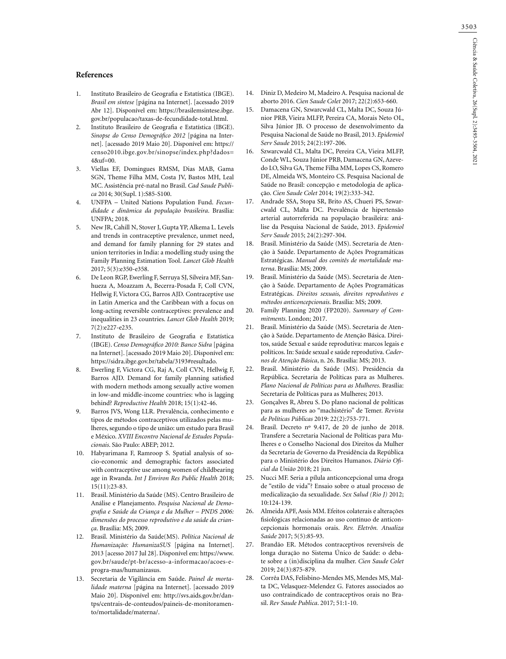#### **References**

- 1. Instituto Brasileiro de Geografia e Estatística (IBGE). *Brasil em síntese* [página na Internet]. [acessado 2019 Abr 12]. Disponível em: [https://brasilemsintese.ibge.](https://brasilemsintese.ibge.gov.br/populacao/taxas-de-fecundidade-total.html) [gov.br/populacao/taxas-de-fecundidade-total.html.](https://brasilemsintese.ibge.gov.br/populacao/taxas-de-fecundidade-total.html)
- 2. Instituto Brasileiro de Geografia e Estatística (IBGE). *Sinopse do Censo Demográfico 2012* [página na Internet]. [acessado 2019 Maio 20]. Disponível em: [https://](https://censo2010.ibge.gov.br/sinopse/index.php?dados=4&uf=00) [censo2010.ibge.gov.br/sinopse/index.php?dados=](https://censo2010.ibge.gov.br/sinopse/index.php?dados=4&uf=00) [4&uf=00.](https://censo2010.ibge.gov.br/sinopse/index.php?dados=4&uf=00)
- 3. Viellas EF, Domingues RMSM, Dias MAB, Gama SGN, Theme Filha MM, Costa JV, Bastos MH, Leal MC. Assistência pré-natal no Brasil. *Cad Saude Publica* 2014; 30(Supl. 1):S85-S100.
- 4. UNFPA [United Nations Population Fund](https://www.unfpa.org/). *Fecundidade e dinâmica da população brasileira*. Brasília: UNFPA; 2018.
- 5. New JR, Cahill N, Stover J, Gupta YP, Alkema L. Levels and trends in contraceptive prevalence, unmet need, and demand for family planning for 29 states and union territories in India: a modelling study using the Family Planning Estimation Tool. *Lancet Glob Health* 2017; 5(3):e350-e358.
- 6. De Leon RGP, Ewerling F, Serruya SJ, Silveira MF, Sanhueza A, Moazzam A, Becerra-Posada F, Coll CVN, Hellwig F, Victora CG, Barros AJD. Contraceptive use in Latin America and the Caribbean with a focus on long-acting reversible contraceptives: prevalence and inequalities in 23 countries. *Lancet Glob Health* 2019; 7(2):e227-e235.
- 7. Instituto de Brasileiro de Geografia e Estatística (IBGE). *Censo Demográfico 2010: Banco Sidra* [página na Internet]. [acessado 2019 Maio 20]. Disponível em: https://sidra.ibge.gov.br/tabela/3193#resultado.
- 8. Ewerling F, Victora CG, Raj A, Coll CVN, Hellwig F, Barros AJD. Demand for family planning satisfied with modern methods among sexually active women in low-and middle-income countries: who is lagging behind? *Reproductive Health* 2018; 15(1):42-46.
- 9. Barros JVS, Wong LLR. Prevalência, conhecimento e tipos de métodos contraceptivos utilizados pelas mulheres, segundo o tipo de união: um estudo para Brasil e México. *XVIII Encontro Nacional de Estudos Populacionais*. São Paulo: ABEP; 2012.
- 10. Habyarimana F, Ramroop S. Spatial analysis of socio-economic and demographic factors associated with contraceptive use among women of childbearing age in Rwanda. *Int J Environ Res Public Health* 2018; 15(11):23-83.
- 11. Brasil. Ministério da Saúde (MS). Centro Brasileiro de Análise e Planejamento. *Pesquisa Nacional de Demografia e Saúde da Criança e da Mulher – PNDS 2006: dimensões do processo reprodutivo e da saúde da criança*. Brasília: MS; 2009.
- 12. Brasil. Ministério da Saúde(MS). *Política Nacional de Humanização: HumanizaSUS* [página na Internet]. 2013 [acesso 2017 Jul 28]. Disponível em: https://www. gov.br/saude/pt-br/acesso-a-informacao/acoes-eprogra-mas/humanizasus.
- 13. Secretaria de Vigilância em Saúde. *Painel de mortalidade materna* [página na Internet]. [acessado 2019 Maio 20]. Disponível em: [http://svs.aids.gov.br/dan](http://svs.aids.gov.br/dantps/centrais-de-conteudos/paineis-de-monitoramento/mortalidade/materna/)[tps/centrais-de-conteudos/paineis-de-monitoramen](http://svs.aids.gov.br/dantps/centrais-de-conteudos/paineis-de-monitoramento/mortalidade/materna/)[to/mortalidade/materna/.](http://svs.aids.gov.br/dantps/centrais-de-conteudos/paineis-de-monitoramento/mortalidade/materna/)
- 14. Diniz D, Medeiro M, Madeiro A. Pesquisa nacional de aborto 2016. *Cien Saude Colet* 2017; 22(2):653-660.
- 15. Damacena GN, Szwarcwald CL, Malta DC, Souza Júnior PRB, Vieira MLFP, Pereira CA, Morais Neto OL, Silva Júnior JB. O processo de desenvolvimento da Pesquisa Nacional de Saúde no Brasil, 2013. *Epidemiol Serv Saude* 2015; 24(2):197-206.
- 16. Szwarcwald CL, Malta DC, Pereira CA, Vieira MLFP, Conde WL, Souza Júnior PRB, Damacena GN, Azevedo LO, Silva GA, Theme Filha MM, Lopes CS, Romero DE, Almeida WS, Monteiro CS. Pesquisa Nacional de Saúde no Brasil: concepção e metodologia de aplicação. *Cien Saude Colet* 2014; 19(2):333-342.
- 17. Andrade SSA, Stopa SR, Brito AS, Chueri PS, Szwarcwald CL, Malta DC. Prevalência de hipertensão arterial autorreferida na população brasileira: análise da Pesquisa Nacional de Saúde, 2013. *Epidemiol Serv Saude* 2015; 24(2):297-304.
- 18. Brasil. Ministério da Saúde (MS). Secretaria de Atenção à Saúde. Departamento de Ações Programáticas Estratégicas. *Manual dos comitês de mortalidade materna*. Brasília: MS; 2009.
- 19. Brasil. Ministério da Saúde (MS). Secretaria de Atenção à Saúde. Departamento de Ações Programáticas Estratégicas. *Direitos sexuais, direitos reprodutivos e métodos anticoncepcionais*. Brasília: MS; 2009.
- 20. Family Planning 2020 (FP2020). *Summary of Commitments*. London; 2017.
- 21. Brasil. Ministério da Saúde (MS). Secretaria de Atenção à Saúde. Departamento de Atenção Básica. Direitos, saúde Sexual e saúde reprodutiva: marcos legais e políticos. In: Saúde sexual e saúde reprodutiva. *Cadernos de Atenção Básica*, n. 26. Brasília: MS; 2013.
- 22. Brasil. Ministério da Saúde (MS). Presidência da República. Secretaria de Políticas para as Mulheres. *Plano Nacional de Políticas para as Mulheres*. Brasília: Secretaria de Políticas para as Mulheres; 2013.
- 23. Gonçalves R, Abreu S. Do plano nacional de políticas para as mulheres ao "machistério" de Temer. *Revista de Políticas Públicas* 2019: 22(2):753-771.
- 24. Brasil. Decreto nº 9.417, de 20 de junho de 2018. Transfere a Secretaria Nacional de Políticas para Mulheres e o Conselho Nacional dos Direitos da Mulher da Secretaria de Governo da Presidência da República para o Ministério dos Direitos Humanos. *Diário Oficial da União* 2018; 21 jun.
- 25. Nucci MF. Seria a pílula anticoncepcional uma droga de "estilo de vida"? Ensaio sobre o atual processo de medicalização da sexualidade. *Sex Salud (Rio J)* 2012; 10:124-139.
- 26. Almeida APF, Assis MM. Efeitos colaterais e alterações fisiológicas relacionadas ao uso contínuo de anticoncepcionais hormonais orais. *Rev. Eletrôn. Atualiza Saúde* 2017; 5(5):85-93.
- 27. Brandão ER. Métodos contraceptivos reversíveis de longa duração no Sistema Único de Saúde: o debate sobre a (in)disciplina da mulher. *Cien Saude Colet* 2019; 24(3):875-879.
- 28. Corrêa DAS, Felisbino-Mendes MS, Mendes MS, Malta DC, Velasquez-Melendez G. Fatores associados ao uso contraindicado de contraceptivos orais no Brasil. *Rev Saude Publica*. 2017; 51:1-10.